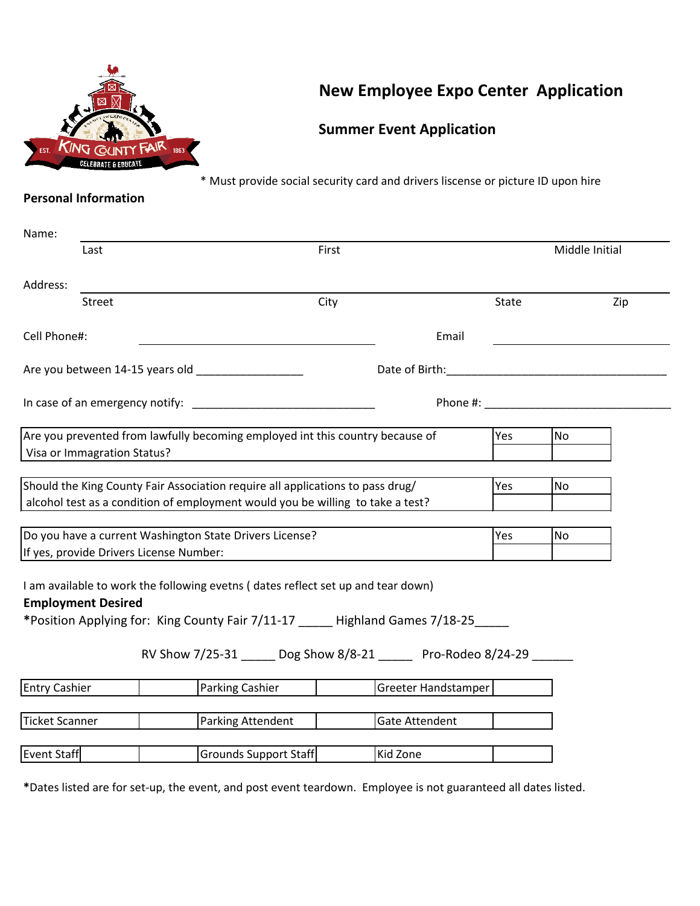

# **New Employee Expo Center Application**

## **Summer Event Application**

\* Must provide social security card and drivers liscense or picture ID upon hire

## **Personal Information**

| Name:                     |                                         |                                                                                                                                                                                                                                               |                       |       |                |                                                                                                                                                                                                                                |
|---------------------------|-----------------------------------------|-----------------------------------------------------------------------------------------------------------------------------------------------------------------------------------------------------------------------------------------------|-----------------------|-------|----------------|--------------------------------------------------------------------------------------------------------------------------------------------------------------------------------------------------------------------------------|
|                           | Last                                    | First                                                                                                                                                                                                                                         |                       |       | Middle Initial |                                                                                                                                                                                                                                |
| Address:                  |                                         |                                                                                                                                                                                                                                               |                       |       |                |                                                                                                                                                                                                                                |
|                           | Street                                  | City                                                                                                                                                                                                                                          |                       | State |                | Zip                                                                                                                                                                                                                            |
| Cell Phone#:              |                                         |                                                                                                                                                                                                                                               | Email                 |       |                |                                                                                                                                                                                                                                |
|                           |                                         | Are you between 14-15 years old __________________                                                                                                                                                                                            | Date of Birth:        |       |                |                                                                                                                                                                                                                                |
|                           |                                         | In case of an emergency notify: National Contract of an emergency notify:                                                                                                                                                                     |                       |       |                | Phone #: the state of the state of the state of the state of the state of the state of the state of the state of the state of the state of the state of the state of the state of the state of the state of the state of the s |
|                           | Visa or Immagration Status?             | Are you prevented from lawfully becoming employed int this country because of                                                                                                                                                                 |                       | Yes   | <b>No</b>      |                                                                                                                                                                                                                                |
|                           |                                         | Should the King County Fair Association require all applications to pass drug/<br>alcohol test as a condition of employment would you be willing to take a test?                                                                              |                       | Yes   | <b>No</b>      |                                                                                                                                                                                                                                |
|                           | If yes, provide Drivers License Number: | Do you have a current Washington State Drivers License?                                                                                                                                                                                       |                       | Yes   | <b>No</b>      |                                                                                                                                                                                                                                |
| <b>Employment Desired</b> |                                         | I am available to work the following evetns (dates reflect set up and tear down)<br>*Position Applying for: King County Fair 7/11-17 _____ Highland Games 7/18-25 ____<br>RV Show 7/25-31 _____ Dog Show 8/8-21 _____ Pro-Rodeo 8/24-29 _____ |                       |       |                |                                                                                                                                                                                                                                |
|                           |                                         |                                                                                                                                                                                                                                               |                       |       |                |                                                                                                                                                                                                                                |
| <b>Entry Cashier</b>      |                                         | <b>Parking Cashier</b>                                                                                                                                                                                                                        | Greeter Handstamper   |       |                |                                                                                                                                                                                                                                |
| <b>Ticket Scanner</b>     |                                         | Parking Attendent                                                                                                                                                                                                                             | <b>Gate Attendent</b> |       |                |                                                                                                                                                                                                                                |
| Event Staff               |                                         | Grounds Support Staff                                                                                                                                                                                                                         | Kid Zone              |       |                |                                                                                                                                                                                                                                |

**\***Dates listed are for set-up, the event, and post event teardown. Employee is not guaranteed all dates listed.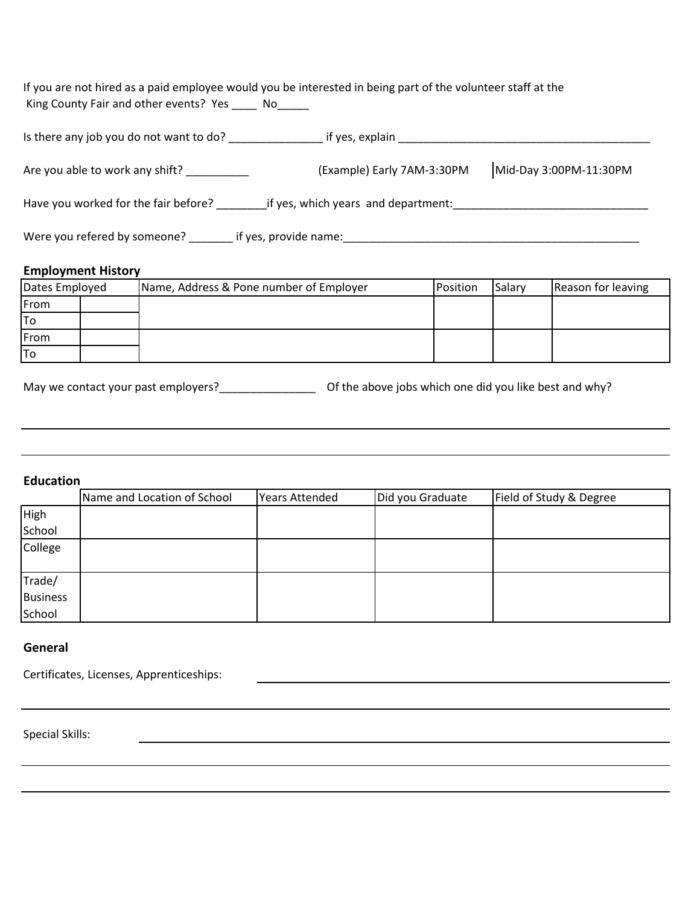If you are not hired as a paid employee would you be interested in being part of the volunteer staff at the King County Fair and other events? Yes \_\_\_\_ No\_\_\_\_\_

| Is there any job you do not want to do?                                     | if yes, explain            |                        |  |  |  |
|-----------------------------------------------------------------------------|----------------------------|------------------------|--|--|--|
| Are you able to work any shift?                                             | (Example) Early 7AM-3:30PM | Mid-Day 3:00PM-11:30PM |  |  |  |
| Have you worked for the fair before?<br>if yes, which years and department: |                            |                        |  |  |  |
| Were you refered by someone?                                                | if yes, provide name:      |                        |  |  |  |

#### **Employment History**

| Dates Employed | Name, Address & Pone number of Employer | Position | Salary | Reason for leaving |
|----------------|-----------------------------------------|----------|--------|--------------------|
| <b>From</b>    |                                         |          |        |                    |
| lTo            |                                         |          |        |                    |
| From           |                                         |          |        |                    |
| lTo            |                                         |          |        |                    |

May we contact your past employers?\_\_\_\_\_\_\_\_\_\_\_\_\_\_\_\_\_\_\_\_\_\_\_\_\_ Of the above jobs which one did you like best and why?

#### **Education**

|                 | Name and Location of School | Years Attended | Did you Graduate | Field of Study & Degree |
|-----------------|-----------------------------|----------------|------------------|-------------------------|
| High            |                             |                |                  |                         |
| School          |                             |                |                  |                         |
| College         |                             |                |                  |                         |
|                 |                             |                |                  |                         |
| Trade/          |                             |                |                  |                         |
| <b>Business</b> |                             |                |                  |                         |
| School          |                             |                |                  |                         |

#### **General**

Special Skills: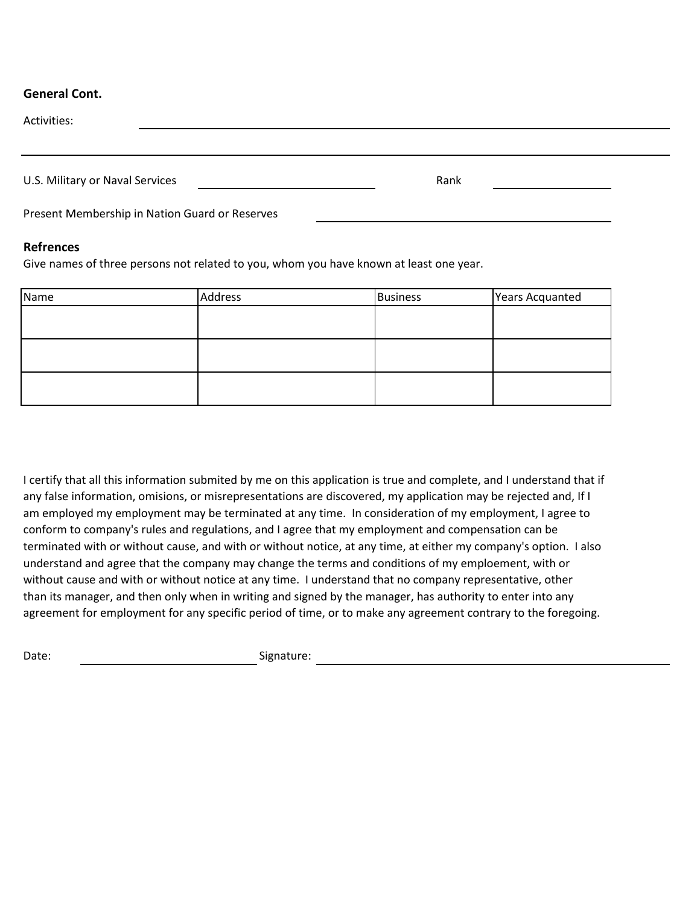### **General Cont.**

| Activities:                     |                                                |      |
|---------------------------------|------------------------------------------------|------|
|                                 |                                                |      |
| U.S. Military or Naval Services |                                                | Rank |
|                                 | Present Membership in Nation Guard or Reserves |      |

#### **Refrences**

Give names of three persons not related to you, whom you have known at least one year.

| Name | Address | <b>Business</b> | Years Acquanted |
|------|---------|-----------------|-----------------|
|      |         |                 |                 |
|      |         |                 |                 |
|      |         |                 |                 |
|      |         |                 |                 |
|      |         |                 |                 |
|      |         |                 |                 |

I certify that all this information submited by me on this application is true and complete, and I understand that if any false information, omisions, or misrepresentations are discovered, my application may be rejected and, If I am employed my employment may be terminated at any time. In consideration of my employment, I agree to conform to company's rules and regulations, and I agree that my employment and compensation can be terminated with or without cause, and with or without notice, at any time, at either my company's option. I also understand and agree that the company may change the terms and conditions of my emploement, with or without cause and with or without notice at any time. I understand that no company representative, other than its manager, and then only when in writing and signed by the manager, has authority to enter into any agreement for employment for any specific period of time, or to make any agreement contrary to the foregoing.

Date: Signature: Signature: Signature: Signature: Signature: Signature: Signature: Signature: Signature: Signature: Signature: Signature: Signature: Signature: Signature: Signature: Signature: Signature: Signature: Signatu